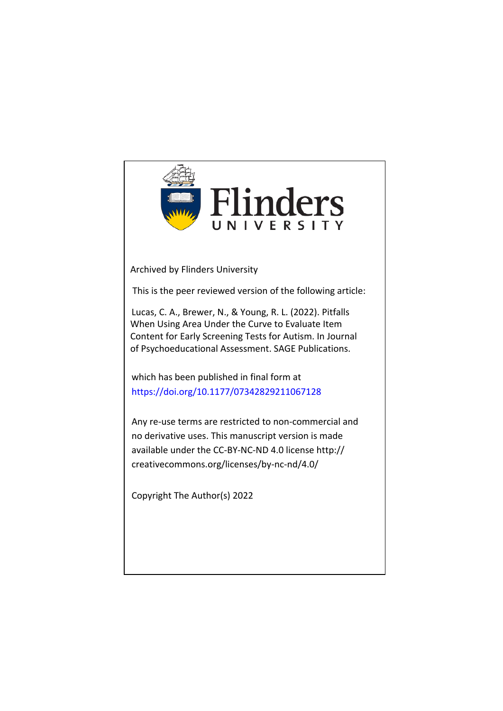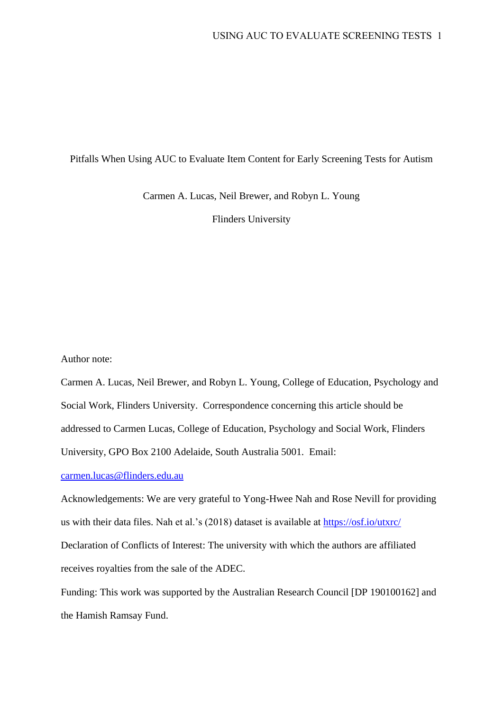## Pitfalls When Using AUC to Evaluate Item Content for Early Screening Tests for Autism

Carmen A. Lucas, Neil Brewer, and Robyn L. Young

Flinders University

Author note:

Carmen A. Lucas, Neil Brewer, and Robyn L. Young, College of Education, Psychology and Social Work, Flinders University. Correspondence concerning this article should be addressed to Carmen Lucas, College of Education, Psychology and Social Work, Flinders University, GPO Box 2100 Adelaide, South Australia 5001. Email:

[carmen.lucas@flinders.edu.au](mailto:carmen.lucas@flinders.edu.au)

Acknowledgements: We are very grateful to Yong-Hwee Nah and Rose Nevill for providing us with their data files. Nah et al.'s (2018) dataset is available at<https://osf.io/utxrc/> Declaration of Conflicts of Interest: The university with which the authors are affiliated receives royalties from the sale of the ADEC.

Funding: This work was supported by the Australian Research Council [DP 190100162] and the Hamish Ramsay Fund.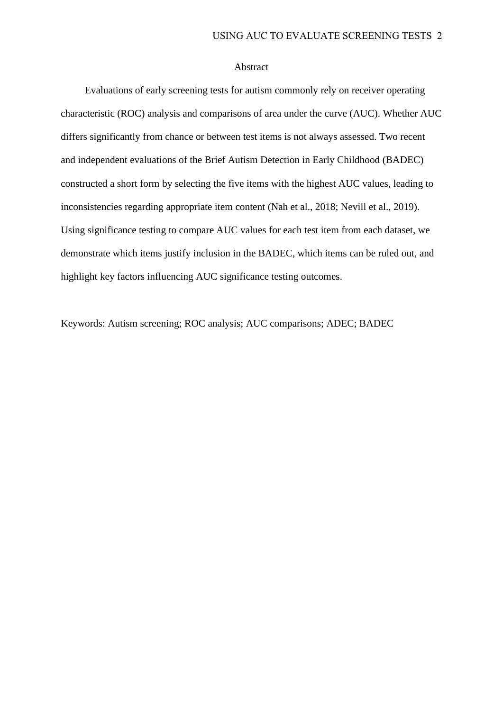#### Abstract

Evaluations of early screening tests for autism commonly rely on receiver operating characteristic (ROC) analysis and comparisons of area under the curve (AUC). Whether AUC differs significantly from chance or between test items is not always assessed. Two recent and independent evaluations of the Brief Autism Detection in Early Childhood (BADEC) constructed a short form by selecting the five items with the highest AUC values, leading to inconsistencies regarding appropriate item content (Nah et al., 2018; Nevill et al., 2019). Using significance testing to compare AUC values for each test item from each dataset, we demonstrate which items justify inclusion in the BADEC, which items can be ruled out, and highlight key factors influencing AUC significance testing outcomes.

Keywords: Autism screening; ROC analysis; AUC comparisons; ADEC; BADEC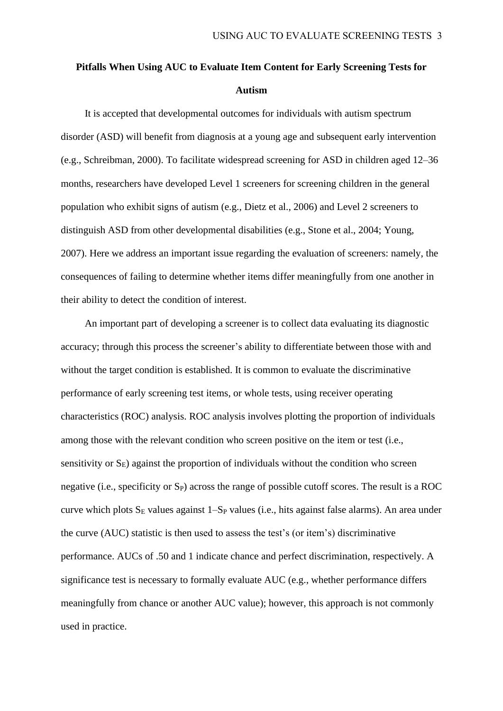# **Pitfalls When Using AUC to Evaluate Item Content for Early Screening Tests for Autism**

It is accepted that developmental outcomes for individuals with autism spectrum disorder (ASD) will benefit from diagnosis at a young age and subsequent early intervention (e.g., Schreibman, 2000). To facilitate widespread screening for ASD in children aged 12–36 months, researchers have developed Level 1 screeners for screening children in the general population who exhibit signs of autism (e.g., Dietz et al., 2006) and Level 2 screeners to distinguish ASD from other developmental disabilities (e.g., Stone et al., 2004; Young, 2007). Here we address an important issue regarding the evaluation of screeners: namely, the consequences of failing to determine whether items differ meaningfully from one another in their ability to detect the condition of interest.

An important part of developing a screener is to collect data evaluating its diagnostic accuracy; through this process the screener's ability to differentiate between those with and without the target condition is established. It is common to evaluate the discriminative performance of early screening test items, or whole tests, using receiver operating characteristics (ROC) analysis. ROC analysis involves plotting the proportion of individuals among those with the relevant condition who screen positive on the item or test (i.e., sensitivity or  $S_E$ ) against the proportion of individuals without the condition who screen negative (i.e., specificity or  $S_P$ ) across the range of possible cutoff scores. The result is a ROC curve which plots  $S_E$  values against 1–S<sub>P</sub> values (i.e., hits against false alarms). An area under the curve (AUC) statistic is then used to assess the test's (or item's) discriminative performance. AUCs of .50 and 1 indicate chance and perfect discrimination, respectively. A significance test is necessary to formally evaluate AUC (e.g., whether performance differs meaningfully from chance or another AUC value); however, this approach is not commonly used in practice.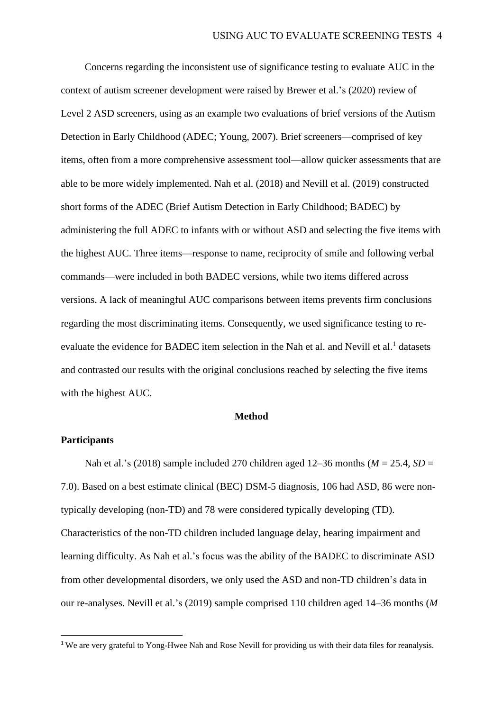Concerns regarding the inconsistent use of significance testing to evaluate AUC in the context of autism screener development were raised by Brewer et al.'s (2020) review of Level 2 ASD screeners, using as an example two evaluations of brief versions of the Autism Detection in Early Childhood (ADEC; Young, 2007). Brief screeners—comprised of key items, often from a more comprehensive assessment tool—allow quicker assessments that are able to be more widely implemented. Nah et al. (2018) and Nevill et al. (2019) constructed short forms of the ADEC (Brief Autism Detection in Early Childhood; BADEC) by administering the full ADEC to infants with or without ASD and selecting the five items with the highest AUC. Three items—response to name, reciprocity of smile and following verbal commands—were included in both BADEC versions, while two items differed across versions. A lack of meaningful AUC comparisons between items prevents firm conclusions regarding the most discriminating items. Consequently, we used significance testing to reevaluate the evidence for BADEC item selection in the Nah et al. and Nevill et al.<sup>1</sup> datasets and contrasted our results with the original conclusions reached by selecting the five items with the highest AUC.

#### **Method**

## **Participants**

Nah et al.'s (2018) sample included 270 children aged 12–36 months (*M* = 25.4, *SD* = 7.0). Based on a best estimate clinical (BEC) DSM-5 diagnosis, 106 had ASD, 86 were nontypically developing (non-TD) and 78 were considered typically developing (TD). Characteristics of the non-TD children included language delay, hearing impairment and learning difficulty. As Nah et al.'s focus was the ability of the BADEC to discriminate ASD from other developmental disorders, we only used the ASD and non-TD children's data in our re-analyses. Nevill et al.'s (2019) sample comprised 110 children aged 14–36 months (*M*

<sup>&</sup>lt;sup>1</sup> We are very grateful to Yong-Hwee Nah and Rose Nevill for providing us with their data files for reanalysis.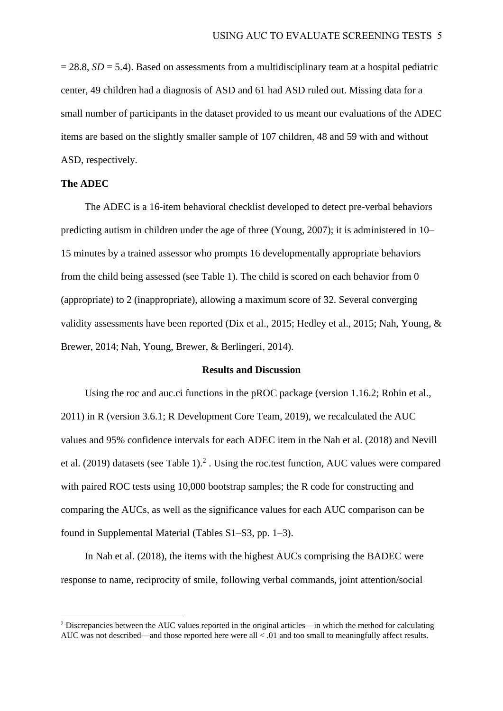$= 28.8$ , *SD* = 5.4). Based on assessments from a multidisciplinary team at a hospital pediatric center, 49 children had a diagnosis of ASD and 61 had ASD ruled out. Missing data for a small number of participants in the dataset provided to us meant our evaluations of the ADEC items are based on the slightly smaller sample of 107 children, 48 and 59 with and without ASD, respectively.

#### **The ADEC**

The ADEC is a 16-item behavioral checklist developed to detect pre-verbal behaviors predicting autism in children under the age of three (Young, 2007); it is administered in 10– 15 minutes by a trained assessor who prompts 16 developmentally appropriate behaviors from the child being assessed (see Table 1). The child is scored on each behavior from 0 (appropriate) to 2 (inappropriate), allowing a maximum score of 32. Several converging validity assessments have been reported (Dix et al., 2015; Hedley et al., 2015; Nah, Young, & Brewer, 2014; Nah, Young, Brewer, & Berlingeri, 2014).

#### **Results and Discussion**

Using the roc and auc.ci functions in the pROC package (version 1.16.2; Robin et al., 2011) in R (version 3.6.1; R Development Core Team, 2019), we recalculated the AUC values and 95% confidence intervals for each ADEC item in the Nah et al. (2018) and Nevill et al.  $(2019)$  datasets (see Table 1).<sup>2</sup>. Using the roc.test function, AUC values were compared with paired ROC tests using 10,000 bootstrap samples; the R code for constructing and comparing the AUCs, as well as the significance values for each AUC comparison can be found in Supplemental Material (Tables S1–S3, pp. 1–3).

In Nah et al. (2018), the items with the highest AUCs comprising the BADEC were response to name, reciprocity of smile, following verbal commands, joint attention/social

<sup>2</sup> Discrepancies between the AUC values reported in the original articles—in which the method for calculating AUC was not described—and those reported here were all < .01 and too small to meaningfully affect results.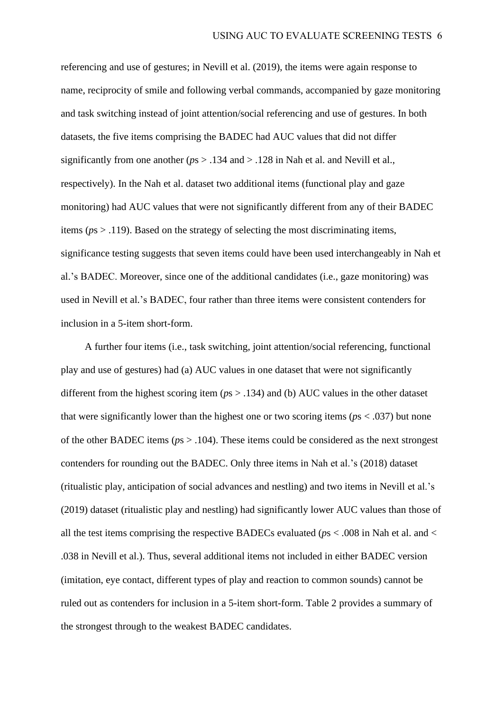referencing and use of gestures; in Nevill et al. (2019), the items were again response to name, reciprocity of smile and following verbal commands, accompanied by gaze monitoring and task switching instead of joint attention/social referencing and use of gestures. In both datasets, the five items comprising the BADEC had AUC values that did not differ significantly from one another (*p*s > .134 and > .128 in Nah et al. and Nevill et al., respectively). In the Nah et al. dataset two additional items (functional play and gaze monitoring) had AUC values that were not significantly different from any of their BADEC items (*p*s > .119). Based on the strategy of selecting the most discriminating items, significance testing suggests that seven items could have been used interchangeably in Nah et al.'s BADEC. Moreover, since one of the additional candidates (i.e., gaze monitoring) was used in Nevill et al.'s BADEC, four rather than three items were consistent contenders for inclusion in a 5-item short-form.

A further four items (i.e., task switching, joint attention/social referencing, functional play and use of gestures) had (a) AUC values in one dataset that were not significantly different from the highest scoring item (*p*s > .134) and (b) AUC values in the other dataset that were significantly lower than the highest one or two scoring items (*p*s < .037) but none of the other BADEC items (*p*s > .104). These items could be considered as the next strongest contenders for rounding out the BADEC. Only three items in Nah et al.'s (2018) dataset (ritualistic play, anticipation of social advances and nestling) and two items in Nevill et al.'s (2019) dataset (ritualistic play and nestling) had significantly lower AUC values than those of all the test items comprising the respective BADECs evaluated (*p*s < .008 in Nah et al. and < .038 in Nevill et al.). Thus, several additional items not included in either BADEC version (imitation, eye contact, different types of play and reaction to common sounds) cannot be ruled out as contenders for inclusion in a 5-item short-form. Table 2 provides a summary of the strongest through to the weakest BADEC candidates.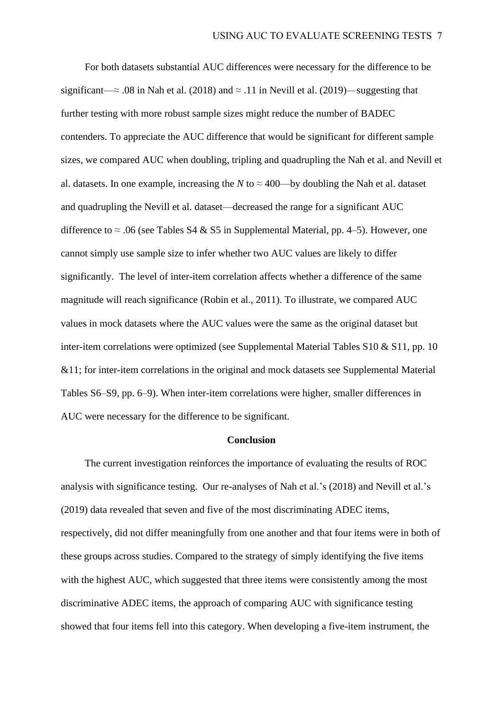For both datasets substantial AUC differences were necessary for the difference to be significant—≈ .08 in Nah et al. (2018) and  $\approx$  .11 in Nevill et al. (2019)—suggesting that further testing with more robust sample sizes might reduce the number of BADEC contenders. To appreciate the AUC difference that would be significant for different sample sizes, we compared AUC when doubling, tripling and quadrupling the Nah et al. and Nevill et al. datasets. In one example, increasing the *N* to  $\approx$  400—by doubling the Nah et al. dataset and quadrupling the Nevill et al. dataset—decreased the range for a significant AUC difference to  $\approx$  .06 (see Tables S4 & S5 in Supplemental Material, pp. 4–5). However, one cannot simply use sample size to infer whether two AUC values are likely to differ significantly. The level of inter-item correlation affects whether a difference of the same magnitude will reach significance (Robin et al., 2011). To illustrate, we compared AUC values in mock datasets where the AUC values were the same as the original dataset but inter-item correlations were optimized (see Supplemental Material Tables S10 & S11, pp. 10 &11; for inter-item correlations in the original and mock datasets see Supplemental Material Tables S6–S9, pp. 6–9). When inter-item correlations were higher, smaller differences in AUC were necessary for the difference to be significant.

#### **Conclusion**

The current investigation reinforces the importance of evaluating the results of ROC analysis with significance testing. Our re-analyses of Nah et al.'s (2018) and Nevill et al.'s (2019) data revealed that seven and five of the most discriminating ADEC items, respectively, did not differ meaningfully from one another and that four items were in both of these groups across studies. Compared to the strategy of simply identifying the five items with the highest AUC, which suggested that three items were consistently among the most discriminative ADEC items, the approach of comparing AUC with significance testing showed that four items fell into this category. When developing a five-item instrument, the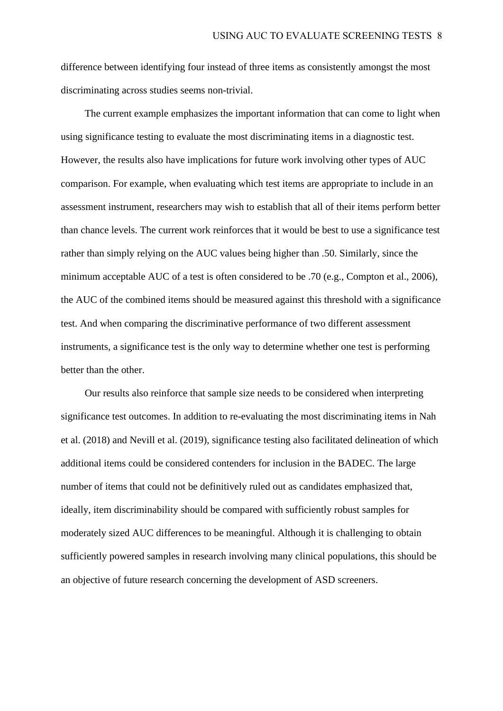difference between identifying four instead of three items as consistently amongst the most discriminating across studies seems non-trivial.

The current example emphasizes the important information that can come to light when using significance testing to evaluate the most discriminating items in a diagnostic test. However, the results also have implications for future work involving other types of AUC comparison. For example, when evaluating which test items are appropriate to include in an assessment instrument, researchers may wish to establish that all of their items perform better than chance levels. The current work reinforces that it would be best to use a significance test rather than simply relying on the AUC values being higher than .50. Similarly, since the minimum acceptable AUC of a test is often considered to be .70 (e.g., Compton et al., 2006), the AUC of the combined items should be measured against this threshold with a significance test. And when comparing the discriminative performance of two different assessment instruments, a significance test is the only way to determine whether one test is performing better than the other.

Our results also reinforce that sample size needs to be considered when interpreting significance test outcomes. In addition to re-evaluating the most discriminating items in Nah et al. (2018) and Nevill et al. (2019), significance testing also facilitated delineation of which additional items could be considered contenders for inclusion in the BADEC. The large number of items that could not be definitively ruled out as candidates emphasized that, ideally, item discriminability should be compared with sufficiently robust samples for moderately sized AUC differences to be meaningful. Although it is challenging to obtain sufficiently powered samples in research involving many clinical populations, this should be an objective of future research concerning the development of ASD screeners.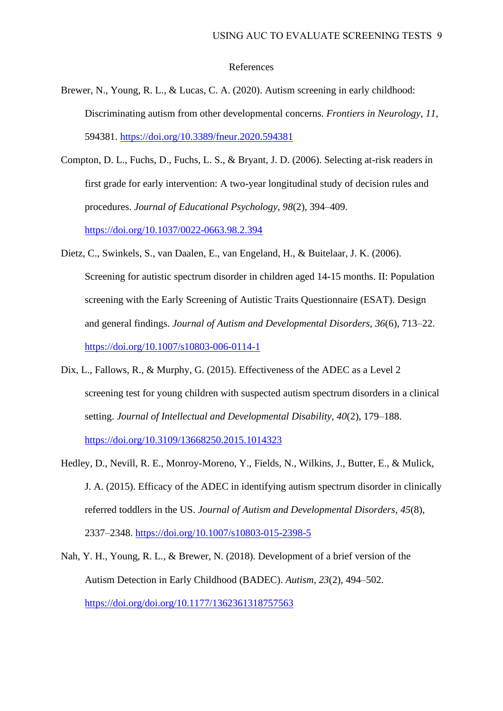#### References

- Brewer, N., Young, R. L., & Lucas, C. A. (2020). Autism screening in early childhood: Discriminating autism from other developmental concerns. *Frontiers in Neurology*, *11*, 594381. <https://doi.org/10.3389/fneur.2020.594381>
- Compton, D. L., Fuchs, D., Fuchs, L. S., & Bryant, J. D. (2006). Selecting at-risk readers in first grade for early intervention: A two-year longitudinal study of decision rules and procedures. *Journal of Educational Psychology*, *98*(2), 394–409. <https://doi.org/10.1037/0022-0663.98.2.394>
- Dietz, C., Swinkels, S., van Daalen, E., van Engeland, H., & Buitelaar, J. K. (2006). Screening for autistic spectrum disorder in children aged 14-15 months. II: Population screening with the Early Screening of Autistic Traits Questionnaire (ESAT). Design and general findings. *Journal of Autism and Developmental Disorders, 36*(6), 713–22. <https://doi.org/10.1007/s10803-006-0114-1>
- Dix, L., Fallows, R., & Murphy, G. (2015). Effectiveness of the ADEC as a Level 2 screening test for young children with suspected autism spectrum disorders in a clinical setting. *Journal of Intellectual and Developmental Disability, 40*(2), 179–188. <https://doi.org/10.3109/13668250.2015.1014323>
- Hedley, D., Nevill, R. E., Monroy-Moreno, Y., Fields, N., Wilkins, J., Butter, E., & Mulick, J. A. (2015). Efficacy of the ADEC in identifying autism spectrum disorder in clinically referred toddlers in the US. *Journal of Autism and Developmental Disorders, 45*(8), 2337–2348.<https://doi.org/10.1007/s10803-015-2398-5>
- Nah, Y. H., Young, R. L., & Brewer, N. (2018). Development of a brief version of the Autism Detection in Early Childhood (BADEC). *Autism, 23*(2), 494–502. <https://doi.org/doi.org/10.1177/1362361318757563>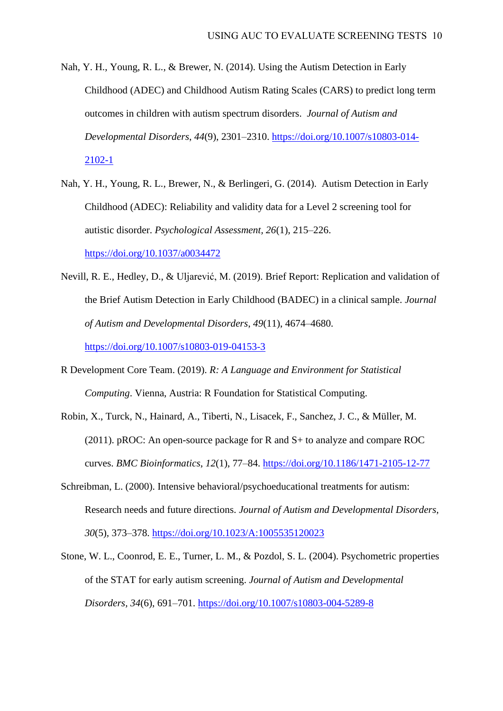- Nah, Y. H., Young, R. L., & Brewer, N. (2014). Using the Autism Detection in Early Childhood (ADEC) and Childhood Autism Rating Scales (CARS) to predict long term outcomes in children with autism spectrum disorders. *Journal of Autism and Developmental Disorders*, *44*(9), 2301–2310. [https://doi.org/10.1007/s10803-014-](https://doi.org/10.1007/s10803-014-2102-1) [2102-1](https://doi.org/10.1007/s10803-014-2102-1)
- Nah, Y. H., Young, R. L., Brewer, N., & Berlingeri, G. (2014). Autism Detection in Early Childhood (ADEC): Reliability and validity data for a Level 2 screening tool for autistic disorder. *Psychological Assessment, 26*(1), 215–226. <https://doi.org/10.1037/a0034472>
- Nevill, R. E., Hedley, D., & Uljarević, M. (2019). Brief Report: Replication and validation of the Brief Autism Detection in Early Childhood (BADEC) in a clinical sample. *Journal of Autism and Developmental Disorders*, *49*(11), 4674–4680. <https://doi.org/10.1007/s10803-019-04153-3>
- R Development Core Team. (2019). *R: A Language and Environment for Statistical Computing*. Vienna, Austria: R Foundation for Statistical Computing.
- Robin, X., Turck, N., Hainard, A., Tiberti, N., Lisacek, F., Sanchez, J. C., & Müller, M. (2011). pROC: An open-source package for R and S+ to analyze and compare ROC curves. *BMC Bioinformatics*, *12*(1), 77–84.<https://doi.org/10.1186/1471-2105-12-77>
- Schreibman, L. (2000). Intensive behavioral/psychoeducational treatments for autism: Research needs and future directions. *Journal of Autism and Developmental Disorders, 30*(5)*,* 373–378.<https://doi.org/10.1023/A:1005535120023>
- Stone, W. L., Coonrod, E. E., Turner, L. M., & Pozdol, S. L. (2004). Psychometric properties of the STAT for early autism screening. *Journal of Autism and Developmental Disorders, 34*(6), 691–701.<https://doi.org/10.1007/s10803-004-5289-8>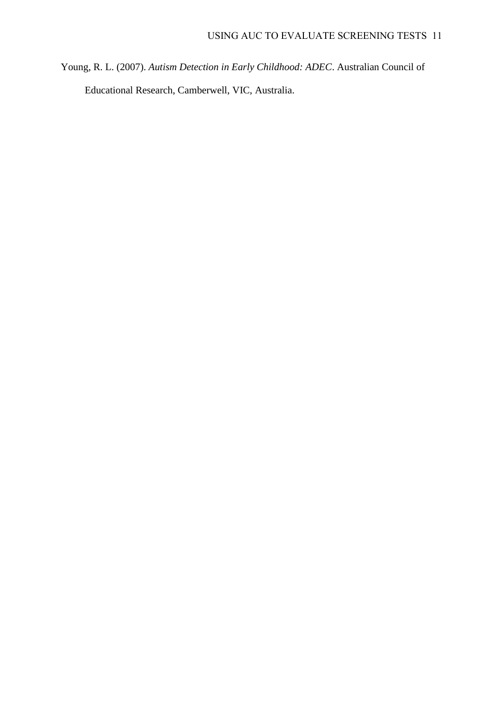Young, R. L. (2007). *Autism Detection in Early Childhood: ADEC*. Australian Council of Educational Research, Camberwell, VIC, Australia.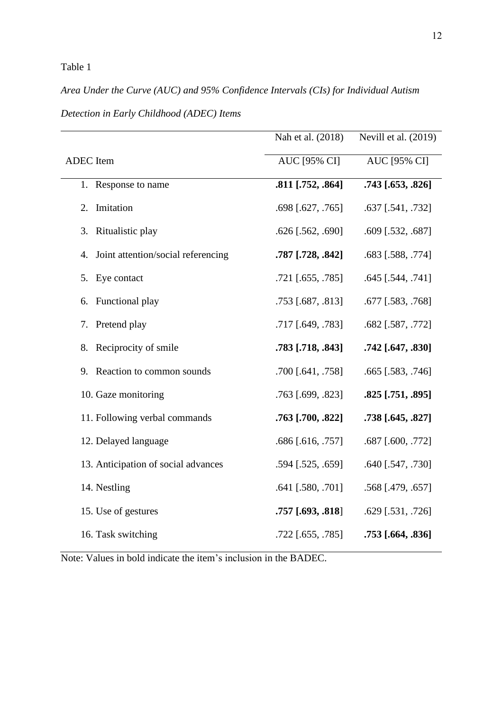# Table 1

# *Area Under the Curve (AUC) and 95% Confidence Intervals (CIs) for Individual Autism*

|                                          | Nah et al. (2018)   | Nevill et al. (2019) |
|------------------------------------------|---------------------|----------------------|
| ADEC Item                                | <b>AUC [95% CI]</b> | <b>AUC [95% CI]</b>  |
| 1. Response to name                      | .811 [.752, .864]   | .743 [.653, .826]    |
| Imitation<br>2.                          | .698 [.627, .765]   | .637 [.541, .732]    |
| Ritualistic play<br>3.                   | $.626$ [.562, .690] | $.609$ [.532, .687]  |
| Joint attention/social referencing<br>4. | .787 [.728, .842]   | .683 [.588, .774]    |
| Eye contact<br>5.                        | .721 [.655, .785]   | $.645$ [.544, .741]  |
| Functional play<br>6.                    | .753 [.687, .813]   | .677 [.583, .768]    |
| Pretend play<br>7.                       | .717 [.649, .783]   | .682 [.587, .772]    |
| Reciprocity of smile<br>8.               | .783 [.718, .843]   | .742 [.647, .830]    |
| Reaction to common sounds<br>9.          | .700 [.641, .758]   | .665 [.583, .746]    |
| 10. Gaze monitoring                      | .763 [.699, .823]   | $.825$ [.751, .895]  |
| 11. Following verbal commands            | .763 [.700, .822]   | .738 [.645, .827]    |
| 12. Delayed language                     | .686 [.616, .757]   | $.687$ [.600, .772]  |
| 13. Anticipation of social advances      | .594 [.525, .659]   | .640 [.547, .730]    |
| 14. Nestling                             | $.641$ [.580, .701] | .568 [.479, .657]    |
| 15. Use of gestures                      | $.757$ [.693, .818] | $.629$ [.531, .726]  |
| 16. Task switching                       | $.722$ [.655, .785] | $.753$ [.664, .836]  |

*Detection in Early Childhood (ADEC) Items* 

Note: Values in bold indicate the item's inclusion in the BADEC.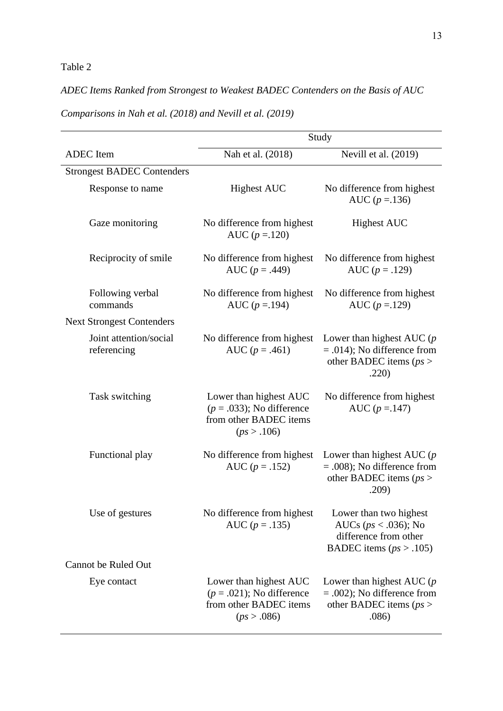# Table 2

# *ADEC Items Ranked from Strongest to Weakest BADEC Contenders on the Basis of AUC*

|                                       | Study                                                                                         |                                                                                                            |  |  |  |  |  |  |  |  |
|---------------------------------------|-----------------------------------------------------------------------------------------------|------------------------------------------------------------------------------------------------------------|--|--|--|--|--|--|--|--|
| <b>ADEC</b> Item                      | Nah et al. (2018)                                                                             | Nevill et al. (2019)                                                                                       |  |  |  |  |  |  |  |  |
| <b>Strongest BADEC Contenders</b>     |                                                                                               |                                                                                                            |  |  |  |  |  |  |  |  |
| Response to name                      | <b>Highest AUC</b>                                                                            | No difference from highest<br>AUC ( $p = 136$ )                                                            |  |  |  |  |  |  |  |  |
| Gaze monitoring                       | No difference from highest<br>AUC $(p = 120)$                                                 | <b>Highest AUC</b>                                                                                         |  |  |  |  |  |  |  |  |
| Reciprocity of smile                  | No difference from highest<br>AUC ( $p = .449$ )                                              | No difference from highest<br>AUC $(p=.129)$                                                               |  |  |  |  |  |  |  |  |
| Following verbal<br>commands          | No difference from highest<br>AUC ( $p = 194$ )                                               | No difference from highest<br>AUC $(p = 129)$                                                              |  |  |  |  |  |  |  |  |
| <b>Next Strongest Contenders</b>      |                                                                                               |                                                                                                            |  |  |  |  |  |  |  |  |
| Joint attention/social<br>referencing | No difference from highest<br>AUC ( $p = .461$ )                                              | Lower than highest AUC $(p)$<br>$= .014$ ; No difference from<br>other BADEC items ( $ps$ )<br>.220)       |  |  |  |  |  |  |  |  |
| Task switching                        | Lower than highest AUC<br>$(p=.033)$ ; No difference<br>from other BADEC items<br>(ps > .106) | No difference from highest<br>AUC $(p = 147)$                                                              |  |  |  |  |  |  |  |  |
| Functional play                       | No difference from highest<br>AUC $(p=.152)$                                                  | Lower than highest AUC $(p)$<br>$= .008$ ; No difference from<br>other BADEC items ( $ps$ )<br>.209)       |  |  |  |  |  |  |  |  |
| Use of gestures                       | No difference from highest<br>AUC $(p=.135)$                                                  | Lower than two highest<br>AUCs ( $ps < .036$ ); No<br>difference from other<br>BADEC items ( $ps > .105$ ) |  |  |  |  |  |  |  |  |
| <b>Cannot be Ruled Out</b>            |                                                                                               |                                                                                                            |  |  |  |  |  |  |  |  |
| Eye contact                           | Lower than highest AUC<br>$(p=.021)$ ; No difference<br>from other BADEC items<br>(ps > .086) | Lower than highest AUC $(p)$<br>$= .002$ ); No difference from<br>other BADEC items ( $ps$ )<br>.086)      |  |  |  |  |  |  |  |  |

*Comparisons in Nah et al. (2018) and Nevill et al. (2019)*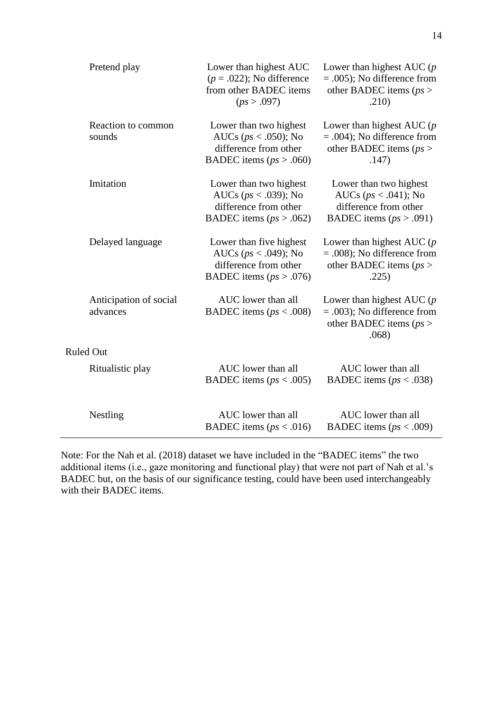| Pretend play                       | Lower than highest AUC<br>$(p=.022)$ ; No difference<br>from other BADEC items<br>(ps > .097)               | Lower than highest AUC $(p)$<br>$= .005$ ; No difference from<br>other BADEC items ( $ps$ )<br>.210)     |
|------------------------------------|-------------------------------------------------------------------------------------------------------------|----------------------------------------------------------------------------------------------------------|
| Reaction to common<br>sounds       | Lower than two highest<br>AUCs ( $ps < .050$ ); No<br>difference from other<br>BADEC items ( $ps > .060$ )  | Lower than highest AUC $(p)$<br>$= .004$ ; No difference from<br>other BADEC items ( $ps$ )<br>.147)     |
| Imitation                          | Lower than two highest<br>AUCs ( $ps < .039$ ); No<br>difference from other<br>BADEC items ( $ps > .062$ )  | Lower than two highest<br>AUCs ( $ps < .041$ ); No<br>difference from other<br>BADEC items $(ps > .091)$ |
| Delayed language                   | Lower than five highest<br>AUCs ( $ps < .049$ ); No<br>difference from other<br>BADEC items ( $ps > .076$ ) | Lower than highest AUC $(p)$<br>$= .008$ ; No difference from<br>other BADEC items ( $ps$ )<br>.225)     |
| Anticipation of social<br>advances | AUC lower than all<br>BADEC items ( $ps < .008$ )                                                           | Lower than highest AUC $(p)$<br>$= .003$ ; No difference from<br>other BADEC items ( $ps$ )<br>.068)     |
| <b>Ruled Out</b>                   |                                                                                                             |                                                                                                          |
| Ritualistic play                   | AUC lower than all<br>BADEC items ( $ps < .005$ )                                                           | AUC lower than all<br>BADEC items ( $ps < .038$ )                                                        |
| Nestling                           | AUC lower than all<br>BADEC items ( $ps < .016$ )                                                           | AUC lower than all<br>BADEC items ( $ps < .009$ )                                                        |

Note: For the Nah et al. (2018) dataset we have included in the "BADEC items" the two additional items (i.e., gaze monitoring and functional play) that were not part of Nah et al.'s BADEC but, on the basis of our significance testing, could have been used interchangeably with their BADEC items.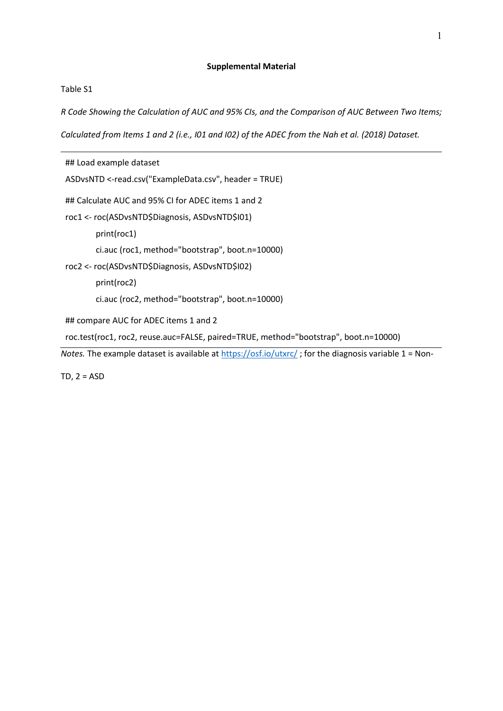# **Supplemental Material**

### Table S1

*R Code Showing the Calculation of AUC and 95% CIs, and the Comparison of AUC Between Two Items;* 

*Calculated from Items 1 and 2 (i.e., I01 and I02) of the ADEC from the Nah et al. (2018) Dataset.*

| ## Load example dataset                                                                               |
|-------------------------------------------------------------------------------------------------------|
| ASDvsNTD <-read.csv("ExampleData.csv", header = TRUE)                                                 |
| ## Calculate AUC and 95% CI for ADEC items 1 and 2                                                    |
| roc1 <- roc(ASDvsNTD\$Diagnosis, ASDvsNTD\$101)                                                       |
| print(roc1)                                                                                           |
| ci.auc (roc1, method="bootstrap", boot.n=10000)                                                       |
| roc2 <- roc(ASDvsNTD\$Diagnosis, ASDvsNTD\$102)                                                       |
| print(roc2)                                                                                           |
| ci.auc (roc2, method="bootstrap", boot.n=10000)                                                       |
| ## compare AUC for ADEC items 1 and 2                                                                 |
| roc.test(roc1, roc2, reuse.auc=FALSE, paired=TRUE, method="bootstrap", boot.n=10000)                  |
| Notes. The example dataset is available at https://osf.io/utxrc/; for the diagnosis variable 1 = Non- |

TD,  $2 = ASD$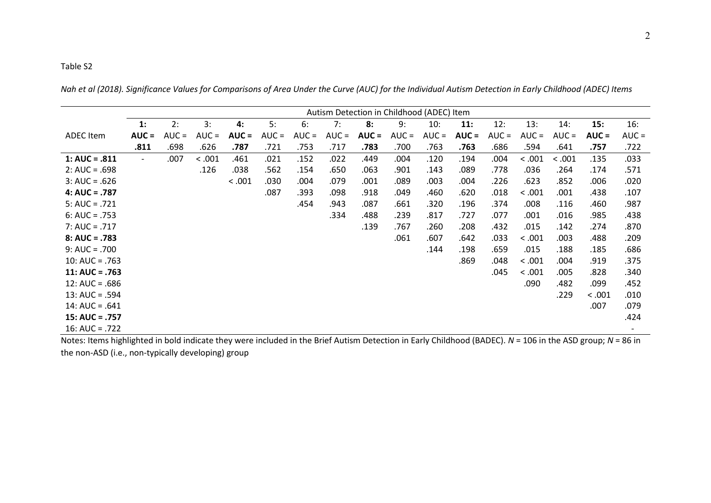*Nah et al (2018). Significance Values for Comparisons of Area Under the Curve (AUC) for the Individual Autism Detection in Early Childhood (ADEC) Items* 

|                  | Autism Detection in Childhood (ADEC) Item |         |         |         |         |         |         |         |         |         |         |         |         |         |         |         |
|------------------|-------------------------------------------|---------|---------|---------|---------|---------|---------|---------|---------|---------|---------|---------|---------|---------|---------|---------|
|                  | 1:                                        | 2:      | 3:      |         | 5:      | 6:      | 7:      | 8:      | 9:      | 10:     |         |         | 13:     | 14:     |         | 16:     |
|                  |                                           |         |         | 4:      |         |         |         |         |         |         | 11:     | 12:     |         |         | 15:     |         |
| <b>ADEC</b> Item | $AUC =$                                   | $AUC =$ | $AUC =$ | $AUC =$ | $AUC =$ | $AUC =$ | $AUC =$ | $AUC =$ | $AUC =$ | $AUC =$ | $AUC =$ | $AUC =$ | $AUC =$ | $AUC =$ | $AUC =$ | $AUC =$ |
|                  | .811                                      | .698    | .626    | .787    | .721    | .753    | .717    | .783    | .700    | .763    | .763    | .686    | .594    | .641    | .757    | .722    |
| $1: AUC = .811$  | $\overline{\phantom{0}}$                  | .007    | < .001  | .461    | .021    | .152    | .022    | .449    | .004    | .120    | .194    | .004    | < .001  | < .001  | .135    | .033    |
| $2: AUC = .698$  |                                           |         | .126    | .038    | .562    | .154    | .650    | .063    | .901    | .143    | .089    | .778    | .036    | .264    | .174    | .571    |
| $3: AUC = .626$  |                                           |         |         | < .001  | .030    | .004    | .079    | .001    | .089    | .003    | .004    | .226    | .623    | .852    | .006    | .020    |
| $4: AUC = .787$  |                                           |         |         |         | .087    | .393    | .098    | .918    | .049    | .460    | .620    | .018    | < .001  | .001    | .438    | .107    |
| $5: AUC = .721$  |                                           |         |         |         |         | .454    | .943    | .087    | .661    | .320    | .196    | .374    | .008    | .116    | .460    | .987    |
| $6: AUC = .753$  |                                           |         |         |         |         |         | .334    | .488    | .239    | .817    | .727    | .077    | .001    | .016    | .985    | .438    |
| $7: AUC = .717$  |                                           |         |         |         |         |         |         | .139    | .767    | .260    | .208    | .432    | .015    | .142    | .274    | .870    |
| $8: AUC = .783$  |                                           |         |         |         |         |         |         |         | .061    | .607    | .642    | .033    | < .001  | .003    | .488    | .209    |
| $9: AUC = .700$  |                                           |         |         |         |         |         |         |         |         | .144    | .198    | .659    | .015    | .188    | .185    | .686    |
| $10: AUC = .763$ |                                           |         |         |         |         |         |         |         |         |         | .869    | .048    | < .001  | .004    | .919    | .375    |
| $11: AUC = .763$ |                                           |         |         |         |         |         |         |         |         |         |         | .045    | < .001  | .005    | .828    | .340    |
| $12: AUC = .686$ |                                           |         |         |         |         |         |         |         |         |         |         |         | .090    | .482    | .099    | .452    |
| $13: AUC = .594$ |                                           |         |         |         |         |         |         |         |         |         |         |         |         | .229    | < .001  | .010    |
| $14: AUC = .641$ |                                           |         |         |         |         |         |         |         |         |         |         |         |         |         | .007    | .079    |
| $15: AUC = .757$ |                                           |         |         |         |         |         |         |         |         |         |         |         |         |         |         | .424    |
| 16: AUC = $.722$ |                                           |         |         |         |         |         |         |         |         |         |         |         |         |         |         |         |

Notes: Items highlighted in bold indicate they were included in the Brief Autism Detection in Early Childhood (BADEC). *N* = 106 in the ASD group; *N* = 86 in the non-ASD (i.e., non-typically developing) group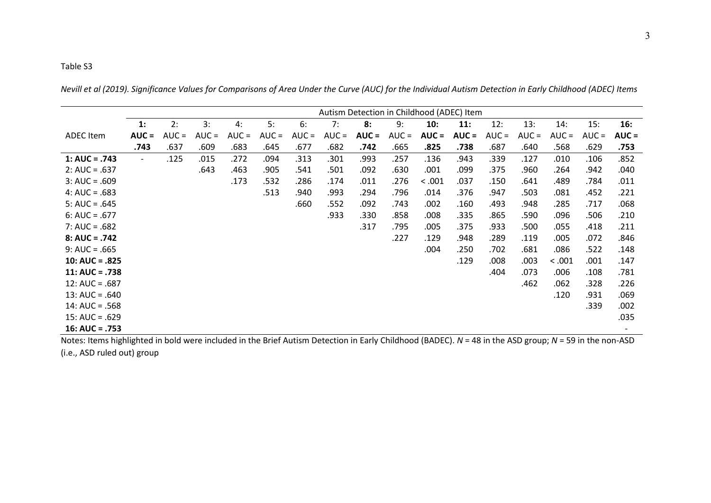*Nevill et al (2019). Significance Values for Comparisons of Area Under the Curve (AUC) for the Individual Autism Detection in Early Childhood (ADEC) Items* 

|                  |         |         |         |         |         |         |         | Autism Detection in Childhood (ADEC) Item |         |         |         |         |         |         |         |         |
|------------------|---------|---------|---------|---------|---------|---------|---------|-------------------------------------------|---------|---------|---------|---------|---------|---------|---------|---------|
|                  | 1:      | 2:      | 3:      | 4:      | 5:      | 6:      | 7:      | 8:                                        | 9:      | 10:     | 11:     | 12:     | 13:     | 14:     | 15:     | 16:     |
| <b>ADEC</b> Item | $AUC =$ | $AUC =$ | $AUC =$ | $AUC =$ | $AUC =$ | $AUC =$ | $AUC =$ | $AUC =$                                   | $AUC =$ | $AUC =$ | $AUC =$ | $AUC =$ | $AUC =$ | $AUC =$ | $AUC =$ | $AUC =$ |
|                  | .743    | .637    | .609    | .683    | .645    | .677    | .682    | .742                                      | .665    | .825    | .738    | .687    | .640    | .568    | .629    | .753    |
| $1: AUC = .743$  | $\sim$  | .125    | .015    | .272    | .094    | .313    | .301    | .993                                      | .257    | .136    | .943    | .339    | .127    | .010    | .106    | .852    |
| $2: AUC = .637$  |         |         | .643    | .463    | .905    | .541    | .501    | .092                                      | .630    | .001    | .099    | .375    | .960    | .264    | .942    | .040    |
| $3: AUC = .609$  |         |         |         | .173    | .532    | .286    | .174    | .011                                      | .276    | < .001  | .037    | .150    | .641    | .489    | .784    | .011    |
| $4: AUC = .683$  |         |         |         |         | .513    | .940    | .993    | .294                                      | .796    | .014    | .376    | .947    | .503    | .081    | .452    | .221    |
| $5: AUC = .645$  |         |         |         |         |         | .660    | .552    | .092                                      | .743    | .002    | .160    | .493    | .948    | .285    | .717    | .068    |
| $6: AUC = .677$  |         |         |         |         |         |         | .933    | .330                                      | .858    | .008    | .335    | .865    | .590    | .096    | .506    | .210    |
| $7: AUC = .682$  |         |         |         |         |         |         |         | .317                                      | .795    | .005    | .375    | .933    | .500    | .055    | .418    | .211    |
| $8: AUC = .742$  |         |         |         |         |         |         |         |                                           | .227    | .129    | .948    | .289    | .119    | .005    | .072    | .846    |
| $9: AUC = .665$  |         |         |         |         |         |         |         |                                           |         | .004    | .250    | .702    | .681    | .086    | .522    | .148    |
| $10: AUC = .825$ |         |         |         |         |         |         |         |                                           |         |         | .129    | .008    | .003    | < 0.001 | .001    | .147    |
| $11: AUC = .738$ |         |         |         |         |         |         |         |                                           |         |         |         | .404    | .073    | .006    | .108    | .781    |
| $12: AUC = .687$ |         |         |         |         |         |         |         |                                           |         |         |         |         | .462    | .062    | .328    | .226    |
| $13: AUC = .640$ |         |         |         |         |         |         |         |                                           |         |         |         |         |         | .120    | .931    | .069    |
| $14: AUC = .568$ |         |         |         |         |         |         |         |                                           |         |         |         |         |         |         | .339    | .002    |
| $15: AUC = .629$ |         |         |         |         |         |         |         |                                           |         |         |         |         |         |         |         | .035    |
| $16: AUC = .753$ |         |         |         |         |         |         |         |                                           |         |         |         |         |         |         |         |         |

Notes: Items highlighted in bold were included in the Brief Autism Detection in Early Childhood (BADEC). *N* = 48 in the ASD group; *N* = 59 in the non-ASD (i.e., ASD ruled out) group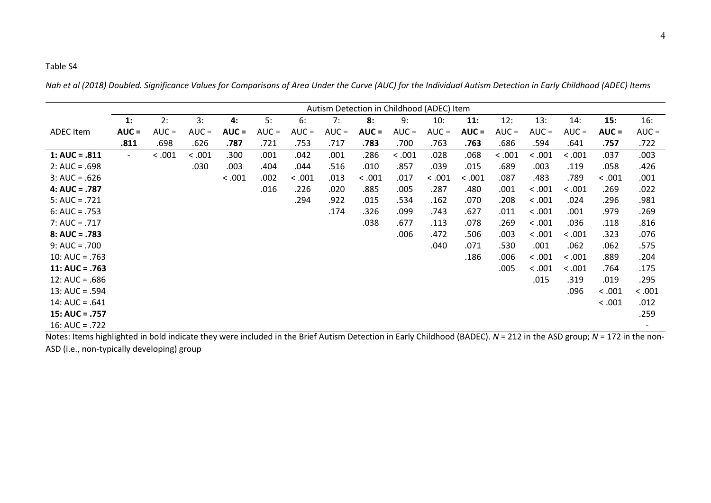*Nah et al (2018) Doubled. Significance Values for Comparisons of Area Under the Curve (AUC) for the Individual Autism Detection in Early Childhood (ADEC) Items* 

|                  |                          |         |         |         |         |         | Autism Detection in Childhood (ADEC) Item |         |         |         |         |         |         |         |         |                          |
|------------------|--------------------------|---------|---------|---------|---------|---------|-------------------------------------------|---------|---------|---------|---------|---------|---------|---------|---------|--------------------------|
|                  | 1:                       | 2:      | 3:      | 4:      | 5:      | 6:      | 7:                                        | 8:      | 9:      | 10:     | 11:     | 12:     | 13:     | 14:     | 15:     | 16:                      |
| <b>ADEC</b> Item | $AUC =$                  | $AUC =$ | $AUC =$ | $AUC =$ | $AUC =$ | $AUC =$ | $AUC =$                                   | $AUC =$ | $AUC =$ | $AUC =$ | $AUC =$ | $AUC =$ | $AUC =$ | $AUC =$ | $AUC =$ | $AUC =$                  |
|                  | .811                     | .698    | .626    | .787    | .721    | .753    | .717                                      | .783    | .700    | .763    | .763    | .686    | .594    | .641    | .757    | .722                     |
| $1: AUC = .811$  | $\overline{\phantom{0}}$ | < .001  | < .001  | .300    | .001    | .042    | .001                                      | .286    | < .001  | .028    | .068    | < .001  | < .001  | < .001  | .037    | .003                     |
| $2: AUC = .698$  |                          |         | .030    | .003    | .404    | .044    | .516                                      | .010    | .857    | .039    | .015    | .689    | .003    | .119    | .058    | .426                     |
| $3: AUC = .626$  |                          |         |         | < .001  | .002    | < .001  | .013                                      | < 0.001 | .017    | < .001  | < .001  | .087    | .483    | .789    | < 0.001 | .001                     |
| $4: AUC = .787$  |                          |         |         |         | .016    | .226    | .020                                      | .885    | .005    | .287    | .480    | .001    | < .001  | < 0.001 | .269    | .022                     |
| $5: AUC = .721$  |                          |         |         |         |         | .294    | .922                                      | .015    | .534    | .162    | .070    | .208    | < .001  | .024    | .296    | .981                     |
| $6: AUC = .753$  |                          |         |         |         |         |         | .174                                      | .326    | .099    | .743    | .627    | .011    | < .001  | .001    | .979    | .269                     |
| $7: AUC = .717$  |                          |         |         |         |         |         |                                           | .038    | .677    | .113    | .078    | .269    | < .001  | .036    | .118    | .816                     |
| $8: AUC = .783$  |                          |         |         |         |         |         |                                           |         | .006    | .472    | .506    | .003    | < .001  | < 0.001 | .323    | .076                     |
| $9: AUC = .700$  |                          |         |         |         |         |         |                                           |         |         | .040    | .071    | .530    | .001    | .062    | .062    | .575                     |
| $10: AUC = .763$ |                          |         |         |         |         |         |                                           |         |         |         | .186    | .006    | < .001  | < .001  | .889    | .204                     |
| $11: AUC = .763$ |                          |         |         |         |         |         |                                           |         |         |         |         | .005    | < .001  | < .001  | .764    | .175                     |
| $12: AUC = .686$ |                          |         |         |         |         |         |                                           |         |         |         |         |         | .015    | .319    | .019    | .295                     |
| $13: AUC = .594$ |                          |         |         |         |         |         |                                           |         |         |         |         |         |         | .096    | < .001  | < .001                   |
| $14: AUC = .641$ |                          |         |         |         |         |         |                                           |         |         |         |         |         |         |         | < .001  | .012                     |
| $15: AUC = .757$ |                          |         |         |         |         |         |                                           |         |         |         |         |         |         |         |         | .259                     |
| $16: AUC = .722$ |                          |         |         |         |         |         |                                           |         |         |         |         |         |         |         |         | $\overline{\phantom{a}}$ |

Notes: Items highlighted in bold indicate they were included in the Brief Autism Detection in Early Childhood (BADEC). *N* = 212 in the ASD group; *N* = 172 in the non-ASD (i.e., non-typically developing) group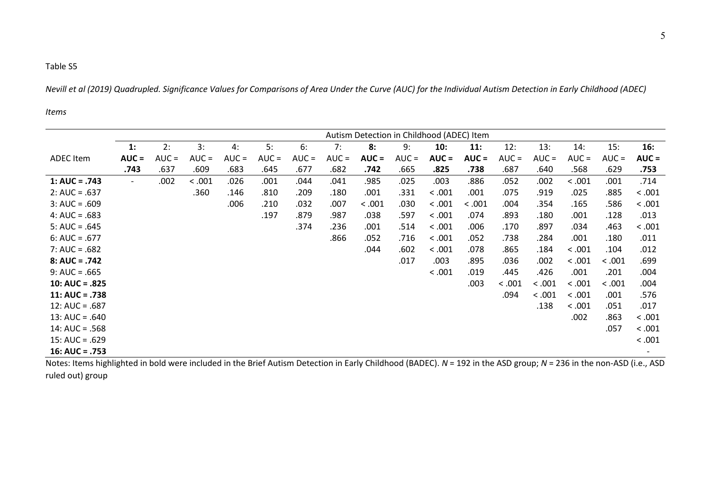*Nevill et al (2019) Quadrupled. Significance Values for Comparisons of Area Under the Curve (AUC) for the Individual Autism Detection in Early Childhood (ADEC)* 

#### *Items*

|                  |                          |         |         |         |         |         |         |         |         | Autism Detection in Childhood (ADEC) Item |         |         |         |         |         |                          |
|------------------|--------------------------|---------|---------|---------|---------|---------|---------|---------|---------|-------------------------------------------|---------|---------|---------|---------|---------|--------------------------|
|                  | 1:                       | 2:      | 3:      | 4:      | 5:      | 6:      | 7:      | 8:      | 9:      | 10:                                       | 11:     | 12:     | 13:     | 14:     | 15:     | 16:                      |
| <b>ADEC</b> Item | $AUC =$                  | $AUC =$ | $AUC =$ | $AUC =$ | $AUC =$ | $AUC =$ | $AUC =$ | $AUC =$ | $AUC =$ | $AUC =$                                   | $AUC =$ | $AUC =$ | $AUC =$ | $AUC =$ | $AUC =$ | $AUC =$                  |
|                  | .743                     | .637    | .609    | .683    | .645    | .677    | .682    | .742    | .665    | .825                                      | .738    | .687    | .640    | .568    | .629    | .753                     |
| 1: $AUC = .743$  | $\overline{\phantom{a}}$ | .002    | < .001  | .026    | .001    | .044    | .041    | .985    | .025    | .003                                      | .886    | .052    | .002    | < .001  | .001    | .714                     |
| $2: AUC = .637$  |                          |         | .360    | .146    | .810    | .209    | .180    | .001    | .331    | < 0.001                                   | .001    | .075    | .919    | .025    | .885    | < .001                   |
| $3: AUC = .609$  |                          |         |         | .006    | .210    | .032    | .007    | < .001  | .030    | < .001                                    | < .001  | .004    | .354    | .165    | .586    | < .001                   |
| $4: AUC = .683$  |                          |         |         |         | .197    | .879    | .987    | .038    | .597    | < .001                                    | .074    | .893    | .180    | .001    | .128    | .013                     |
| $5: AUC = .645$  |                          |         |         |         |         | .374    | .236    | .001    | .514    | < .001                                    | .006    | .170    | .897    | .034    | .463    | < .001                   |
| $6: AUC = .677$  |                          |         |         |         |         |         | .866    | .052    | .716    | < 0.001                                   | .052    | .738    | .284    | .001    | .180    | .011                     |
| $7: AUC = .682$  |                          |         |         |         |         |         |         | .044    | .602    | < .001                                    | .078    | .865    | .184    | < 0.001 | .104    | .012                     |
| $8: AUC = .742$  |                          |         |         |         |         |         |         |         | .017    | .003                                      | .895    | .036    | .002    | < .001  | < 0.001 | .699                     |
| $9: AUC = .665$  |                          |         |         |         |         |         |         |         |         | < .001                                    | .019    | .445    | .426    | .001    | .201    | .004                     |
| $10: AUC = .825$ |                          |         |         |         |         |         |         |         |         |                                           | .003    | < .001  | < .001  | < .001  | < .001  | .004                     |
| $11: AUC = .738$ |                          |         |         |         |         |         |         |         |         |                                           |         | .094    | < .001  | < .001  | .001    | .576                     |
| $12: AUC = .687$ |                          |         |         |         |         |         |         |         |         |                                           |         |         | .138    | < .001  | .051    | .017                     |
| $13: AUC = .640$ |                          |         |         |         |         |         |         |         |         |                                           |         |         |         | .002    | .863    | < .001                   |
| $14: AUC = .568$ |                          |         |         |         |         |         |         |         |         |                                           |         |         |         |         | .057    | < .001                   |
| $15: AUC = .629$ |                          |         |         |         |         |         |         |         |         |                                           |         |         |         |         |         | < .001                   |
| $16: AUC = .753$ |                          |         |         |         |         |         |         |         |         |                                           |         |         |         |         |         | $\overline{\phantom{a}}$ |

Notes: Items highlighted in bold were included in the Brief Autism Detection in Early Childhood (BADEC). *N* = 192 in the ASD group; *N* = 236 in the non-ASD (i.e., ASD ruled out) group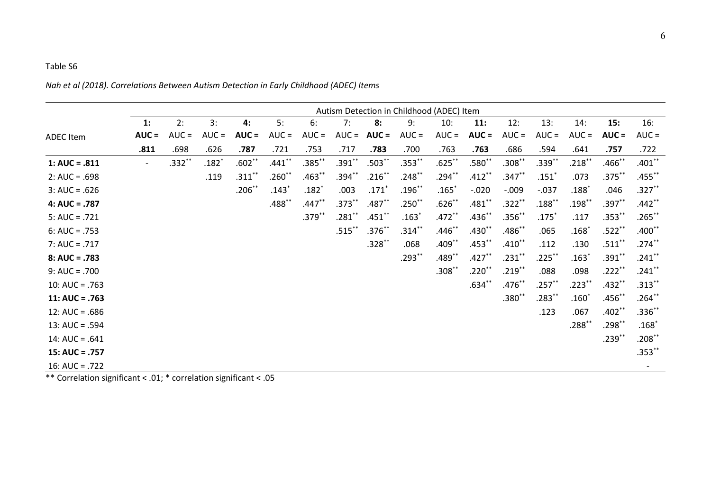|                   |                          |          |                     |           |           |           |           |           | Autism Detection in Childhood (ADEC) Item |                |           |           |             |                  |           |           |
|-------------------|--------------------------|----------|---------------------|-----------|-----------|-----------|-----------|-----------|-------------------------------------------|----------------|-----------|-----------|-------------|------------------|-----------|-----------|
|                   | 1:                       | 2:       | 3:                  | 4:        | 5:        | 6:        | 7:        | 8:        | 9:                                        | 10:            | 11:       | 12:       | 13:         | 14:              | 15:       | 16:       |
| <b>ADEC Item</b>  | $AUC =$                  | $AUC =$  | $AUC =$             | $AUC =$   | $AUC =$   | $AUC =$   | $AUC =$   | $AUC =$   | $AUC =$                                   | $AUC =$        | $AUC =$   | $AUC =$   | $AUC =$     | $AUC =$          | $AUC =$   | $AUC =$   |
|                   | .811                     | .698     | .626                | .787      | .721      | .753      | .717      | .783      | .700                                      | .763           | .763      | .686      | .594        | .641             | .757      | .722      |
| 1: AUC = $.811$   | $\overline{\phantom{a}}$ | $.332**$ | $.182$ <sup>*</sup> | $.602**$  | $.441***$ | $.385***$ | $.391***$ | $.503**$  | $.353***$                                 | $.625***$      | $.580**$  | $.308**$  | $.339**$    | $.218***$        | $.466$ ** | $.401**$  |
| $2: AUC = .698$   |                          |          | .119                | $.311***$ | $.260**$  | $.463**$  | $.394***$ | $.216***$ | $.248***$                                 | $.294***$      | $.412***$ | $.347**$  | $.151*$     | .073             | $.375***$ | $.455***$ |
| $3: AUC = .626$   |                          |          |                     | $.206$ ** | $.143*$   | $.182*$   | .003      | $.171*$   | $.196***$                                 | $.165*$        | $-.020$   | $-0.009$  | $-.037$     | $.188^{\degree}$ | .046      | $.327***$ |
| $4: AUC = .787$   |                          |          |                     |           | $.488**$  | $.447**$  | $.373**$  | $.487**$  | $.250**$                                  | $.626**$       | $.481**$  | $.322**$  | $.188***$   | $.198***$        | $.397**$  | $.442**$  |
| $5: AUC = .721$   |                          |          |                     |           |           | $.379***$ | $.281***$ | $.451***$ | $.163*$                                   | $.472**$       | $.436**$  | $.356**$  | $.175*$     | .117             | $.353***$ | $.265***$ |
| $6: AUC = .753$   |                          |          |                     |           |           |           | $.515***$ | $.376***$ | $.314***$                                 | $.446$ **      | $.430**$  | $.486**$  | .065        | $.168^{\ast}$    | $.522**$  | $.400**$  |
| $7: AUC = .717$   |                          |          |                     |           |           |           |           | $.328**$  | .068                                      | $.409**$       | $.453**$  | $.410**$  | .112        | .130             | $.511$ ** | $.274***$ |
| $8: AUC = .783$   |                          |          |                     |           |           |           |           |           | $.293***$                                 | $.489$ $^{**}$ | $.427**$  | $.231$ ** | $.225***$   | $.163*$          | $.391$ ** | $.241$ ** |
| $9: AUC = .700$   |                          |          |                     |           |           |           |           |           |                                           | $.308$ **      | $.220**$  | $.219***$ | .088        | .098             | $.222***$ | $.241$ ** |
| $10: AUC = .763$  |                          |          |                     |           |           |           |           |           |                                           |                | $.634**$  | $.476**$  | $.257***$   | $.223***$        | $.432**$  | $.313***$ |
| $11: AUC = .763$  |                          |          |                     |           |           |           |           |           |                                           |                |           | $.380**$  | $.283^{**}$ | $.160*$          | $.456**$  | $.264***$ |
| $12: AUC = .686$  |                          |          |                     |           |           |           |           |           |                                           |                |           |           | .123        | .067             | $.402**$  | $.336**$  |
| $13: AUC = .594$  |                          |          |                     |           |           |           |           |           |                                           |                |           |           |             | $.288***$        | $.298**$  | $.168*$   |
| $14$ : AUC = .641 |                          |          |                     |           |           |           |           |           |                                           |                |           |           |             |                  | $.239***$ | $.208**$  |
| $15: AUC = .757$  |                          |          |                     |           |           |           |           |           |                                           |                |           |           |             |                  |           | $.353**$  |
| 16: AUC = $.722$  |                          |          |                     |           |           |           |           |           |                                           |                |           |           |             |                  |           |           |

*Nah et al (2018). Correlations Between Autism Detection in Early Childhood (ADEC) Items* 

\*\* Correlation significant < .01; \* correlation significant < .05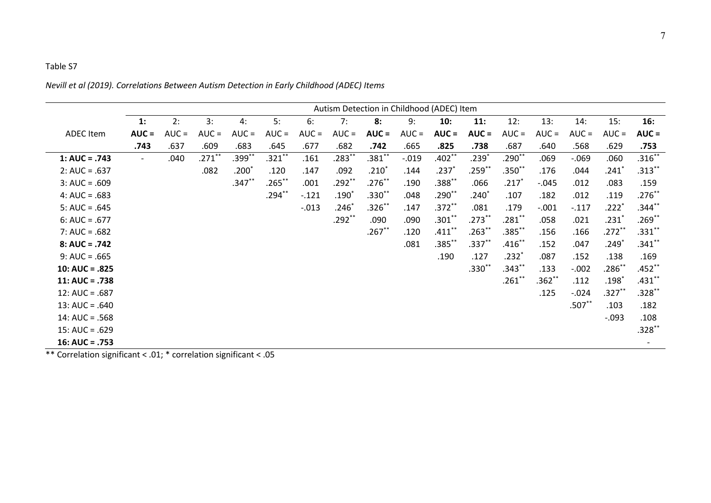## *Nevill et al (2019). Correlations Between Autism Detection in Early Childhood (ADEC) Items*

|                  | Autism Detection in Childhood (ADEC) Item |         |           |              |           |         |          |           |          |             |              |             |            |          |           |           |
|------------------|-------------------------------------------|---------|-----------|--------------|-----------|---------|----------|-----------|----------|-------------|--------------|-------------|------------|----------|-----------|-----------|
|                  | 1:                                        | 2:      | 3:        | 4:           | 5:        | 6:      | 7:       | 8:        | 9:       | 10:         | 11:          | 12:         | 13:        | 14:      | 15:       | 16:       |
| <b>ADEC</b> Item | $AUC =$                                   | $AUC =$ | $AUC =$   | $AUC =$      | $AUC =$   | $AUC =$ | $AUC =$  | $AUC =$   | $AUC =$  | $AUC =$     | $AUC =$      | $AUC =$     | $AUC =$    | $AUC =$  | $AUC =$   | $AUC =$   |
|                  | .743                                      | .637    | .609      | .683         | .645      | .677    | .682     | .742      | .665     | .825        | .738         | .687        | .640       | .568     | .629      | .753      |
| $1: AUC = .743$  | $\overline{\phantom{a}}$                  | .040    | $.271***$ | $.399***$    | $.321***$ | .161    | $.283**$ | $.381**$  | $-0.019$ | $.402**$    | $.239*$      | $.290**$    | .069       | $-069$   | .060      | $.316**$  |
| $2: AUC = .637$  |                                           |         | .082      | .200 $^\ast$ | .120      | .147    | .092     | $.210^*$  | .144     | $.237*$     | $.259^{**}$  | $.350**$    | .176       | .044     | $.241*$   | $.313***$ |
| $3: AUC = .609$  |                                           |         |           | $.347***$    | $.265***$ | .001    | $.292**$ | $.276***$ | .190     | $.388***$   | .066         | $.217$ $*$  | $-0.045$   | .012     | .083      | .159      |
| $4: AUC = .683$  |                                           |         |           |              | $.294***$ | $-.121$ | $.190*$  | $.330**$  | .048     | $.290^{**}$ | .240 $^\ast$ | .107        | .182       | .012     | .119      | $.276**$  |
| $5: AUC = .645$  |                                           |         |           |              |           | $-.013$ | $.246*$  | $.326***$ | .147     | $.372***$   | .081         | .179        | $-.001$    | $-117$   | $.222*$   | $.344$ ** |
| $6: AUC = .677$  |                                           |         |           |              |           |         | $.292**$ | .090      | .090     | $.301**$    | $.273***$    | $.281^{**}$ | .058       | .021     | $.231*$   | $.269**$  |
| $7: AUC = .682$  |                                           |         |           |              |           |         |          | $.267**$  | .120     | $.411***$   | $.263***$    | $.385^{**}$ | .156       | .166     | $.272**$  | $.331**$  |
| $8: AUC = .742$  |                                           |         |           |              |           |         |          |           | .081     | $.385***$   | $.337**$     | $.416***$   | .152       | .047     | $.249*$   | $.341***$ |
| $9: AUC = .665$  |                                           |         |           |              |           |         |          |           |          | .190        | .127         | $.232*$     | .087       | .152     | .138      | .169      |
| $10: AUC = .825$ |                                           |         |           |              |           |         |          |           |          |             | $.330**$     | .343**      | .133       | $-.002$  | $.286**$  | $.452**$  |
| $11: AUC = .738$ |                                           |         |           |              |           |         |          |           |          |             |              | $.261^{**}$ | $.362^{*}$ | .112     | $.198*$   | $.431$ ** |
| $12: AUC = .687$ |                                           |         |           |              |           |         |          |           |          |             |              |             | .125       | $-.024$  | $.327***$ | $.328**$  |
| $13: AUC = .640$ |                                           |         |           |              |           |         |          |           |          |             |              |             |            | $.507**$ | .103      | .182      |
| $14: AUC = .568$ |                                           |         |           |              |           |         |          |           |          |             |              |             |            |          | $-.093$   | .108      |
| $15: AUC = .629$ |                                           |         |           |              |           |         |          |           |          |             |              |             |            |          |           | $.328**$  |
| $16: AUC = .753$ |                                           |         |           |              |           |         |          |           |          |             |              |             |            |          |           |           |

\*\* Correlation significant < .01; \* correlation significant < .05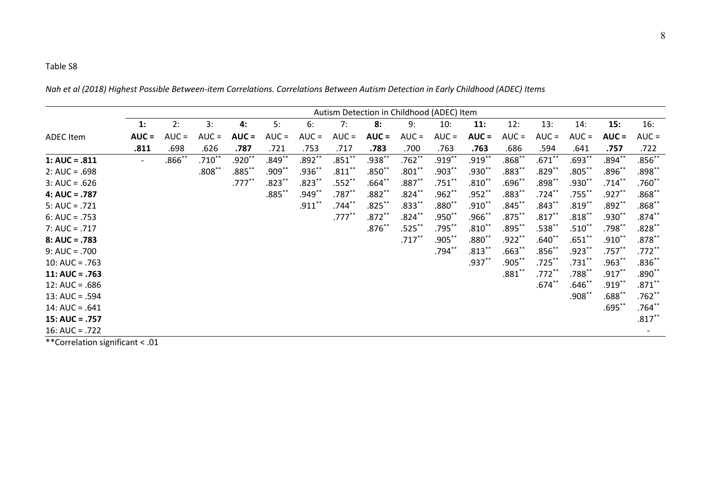*Nah et al (2018) Highest Possible Between-item Correlations. Correlations Between Autism Detection in Early Childhood (ADEC) Items* 

|                                 |                |          |          |           |           |           |           | Autism Detection in Childhood (ADEC) Item |           |           |           |             |            |                    |             |           |
|---------------------------------|----------------|----------|----------|-----------|-----------|-----------|-----------|-------------------------------------------|-----------|-----------|-----------|-------------|------------|--------------------|-------------|-----------|
|                                 | $\mathbf{1}$ : | 2:       | 3:       | 4:        | 5:        | 6:        | 7:        | 8:                                        | 9:        | 10:       | 11:       | 12:         | 13:        | 14:                | 15:         | 16:       |
| <b>ADEC</b> Item                | $AUC =$        | $AUC =$  | $AUC =$  | $AUC =$   | $AUC =$   | $AUC =$   | $AUC =$   | $AUC =$                                   | $AUC =$   | $AUC =$   | $AUC =$   | $AUC =$     | $AUC =$    | $AUC =$            | $AUC =$     | $AUC =$   |
|                                 | .811           | .698     | .626     | .787      | .721      | .753      | .717      | .783                                      | .700      | .763      | .763      | .686        | .594       | .641               | .757        | .722      |
| $1: AUC = .811$                 | $ \,$          | $.866**$ | $.710**$ | $.920**$  | $.849***$ | $.892**$  | $.851***$ | $.938**$                                  | $.762**$  | $.919***$ | $.919***$ | $.868**$    | $.671***$  | $.693**$           | $.894***$   | $.856**$  |
| $2: AUC = .698$                 |                |          | $.808**$ | $.885***$ | $.909***$ | $.936**$  | $.811***$ | $.850**$                                  | $.801***$ | $.903***$ | $.930**$  | $.883^{**}$ | $.829***$  | $.805***$          | .896**      | $.898**$  |
| $3: AUC = .626$                 |                |          |          | $.777***$ | $.823***$ | $.823***$ | $.552$ ** | $.664**$                                  | $.887**$  | $.751***$ | $.810**$  | $.696^{**}$ | $.898***$  | $.930^{**}$        | $.714***$   | $.760**$  |
| $4: AUC = .787$                 |                |          |          |           | $.885***$ | $.949**$  | $.787**$  | $.882**$                                  | $.824***$ | $.962**$  | $.952**$  | $.883**$    | $.724***$  | $.755$ $*$         | $.927**$    | $.868**$  |
| $5: AUC = .721$                 |                |          |          |           |           | $.911***$ | $.744**$  | $.825***$                                 | $.833**$  | $.880**$  | $.910**$  | $.845***$   | $.843***$  | $.819$ $*$         | $.892**$    | $.868**$  |
| $6: AUC = .753$                 |                |          |          |           |           |           | $.777***$ | $.872**$                                  | $.824***$ | $.950**$  | $.966$ ** | $.875***$   | $.817**$   | $.818**$           | $.930**$    | $.874***$ |
| $7: AUC = .717$                 |                |          |          |           |           |           |           | $.876**$                                  | $.525***$ | $.795***$ | $.810**$  | $.895***$   | $.538**$   | $.510^{**}$        | $.798***$   | $.828**$  |
| $8: AUC = .783$                 |                |          |          |           |           |           |           |                                           | $.717***$ | $.905***$ | $.880**$  | $.922***$   | $.640**$   | $.651***$          | $.910**$    | $.878***$ |
| $9: AUC = .700$                 |                |          |          |           |           |           |           |                                           |           | $.794***$ | $.813***$ | $.663**$    | $.856$ $*$ | .923**             | $.757***$   | $.772**$  |
| 10: $AUC = .763$                |                |          |          |           |           |           |           |                                           |           |           | $.937**$  | $.905***$   | $.725***$  | $.731***$          | $.963**$    | $.836**$  |
| $11: AUC = .763$                |                |          |          |           |           |           |           |                                           |           |           |           | $.881**$    | $.772**$   | $.788^{**}$        | $.917***$   | $.890**$  |
| $12: AUC = .686$                |                |          |          |           |           |           |           |                                           |           |           |           |             | $.674**$   | .646 $^{\ast\ast}$ | $.919***$   | $.871***$ |
| $13: AUC = .594$                |                |          |          |           |           |           |           |                                           |           |           |           |             |            | $.908^{**}$        | $.688^{**}$ | $.762**$  |
| $14$ : AUC = .641               |                |          |          |           |           |           |           |                                           |           |           |           |             |            |                    | $.695***$   | $.764**$  |
| $15: AUC = .757$                |                |          |          |           |           |           |           |                                           |           |           |           |             |            |                    |             | $.817***$ |
| $16: AUC = .722$                |                |          |          |           |           |           |           |                                           |           |           |           |             |            |                    |             |           |
| **Correlation significant < .01 |                |          |          |           |           |           |           |                                           |           |           |           |             |            |                    |             |           |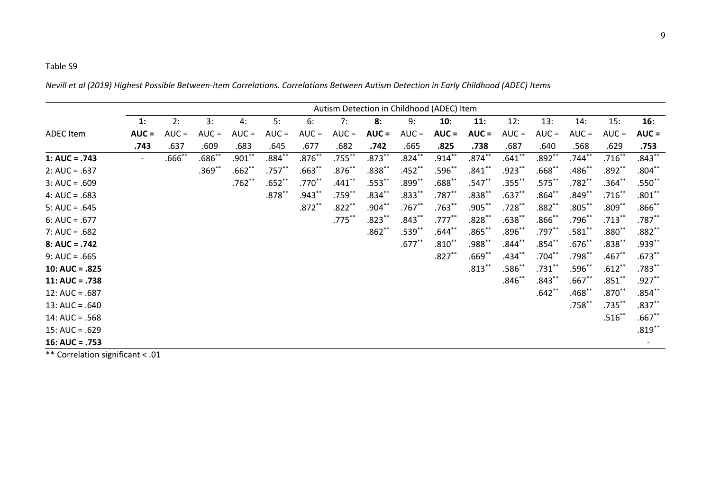*Nevill et al (2019) Highest Possible Between-item Correlations. Correlations Between Autism Detection in Early Childhood (ADEC) Items* 

|                                                                                                                                                                       |                          |           |          |          |           |             |           | Autism Detection in Childhood (ADEC) Item |           |                   |                    |                |            |                |                   |           |
|-----------------------------------------------------------------------------------------------------------------------------------------------------------------------|--------------------------|-----------|----------|----------|-----------|-------------|-----------|-------------------------------------------|-----------|-------------------|--------------------|----------------|------------|----------------|-------------------|-----------|
|                                                                                                                                                                       | $\mathbf{1}$ :           | 2:        | 3:       | 4:       | 5:        | 6:          | 7:        | 8:                                        | 9:        | 10:               | 11:                | 12:            | 13:        | 14:            | 15:               | 16:       |
| <b>ADEC</b> Item                                                                                                                                                      | $AUC =$                  | $AUC =$   | $AUC =$  | $AUC =$  | $AUC =$   | $AUC =$     | $AUC =$   | $AUC =$                                   | $AUC =$   | $AUC =$           | $AUC =$            | $AUC =$        | $AUC =$    | $AUC =$        | $AUC =$           | $AUC =$   |
|                                                                                                                                                                       | .743                     | .637      | .609     | .683     | .645      | .677        | .682      | .742                                      | .665      | .825              | .738               | .687           | .640       | .568           | .629              | .753      |
| 1: AUC = $.743$                                                                                                                                                       | $\overline{\phantom{a}}$ | $.666$ ** | $.686**$ | $.901**$ | $.884**$  | $.876**$    | $.755***$ | $.873**$                                  | $.824***$ | $.914***$         | $.874***$          | $.641***$      | $.892**$   | $.744***$      | $.716***$         | $.843***$ |
| $2: AUC = .637$                                                                                                                                                       |                          |           | $.369**$ | $.662**$ | $.757**$  | $.663**$    | $.876**$  | $.838**$                                  | $.452**$  | $.596^{**}$       | $.841$ *           | $.923**$       | $.668$ $*$ | .486 $\degree$ | $.892**$          | $.804**$  |
| $3: AUC = .609$                                                                                                                                                       |                          |           |          | $.762**$ | $.652**$  | $.770^{**}$ | $.441***$ | $.553***$                                 | $.899***$ | $.688^{\ast\ast}$ | .547 $^{\ast\ast}$ | $.355***$      | $.575***$  | .782**         | $.364**$          | $.550**$  |
| $4: AUC = .683$                                                                                                                                                       |                          |           |          |          | $.878***$ | $.943**$    | $.759***$ | $.834**$                                  | $.833**$  | $.787**$          | $.838**$           | $.637**$       | $.864**$   | $.849**$       | $.716**$          | $.801***$ |
| $5: AUC = .645$                                                                                                                                                       |                          |           |          |          |           | $.872***$   | $.822**$  | $.904***$                                 | $.767**$  | $.763**$          | $.905***$          | $.728***$      | .882**     | $.805***$      | $.809$ $*$        | $.866$ ** |
| $6: AUC = .677$                                                                                                                                                       |                          |           |          |          |           |             | $.775***$ | $.823**$                                  | $.843**$  | $.777***$         | $.828**$           | $.638^{**}$    | $.866^{*}$ | .796           | $.713***$         | $.787**$  |
| $7: AUC = .682$                                                                                                                                                       |                          |           |          |          |           |             |           | $.862**$                                  | $.539**$  | $.644**$          | $.865***$          | $.896^{**}$    | $.797**$   | $.581^{*}$     | $.880^{\ast\ast}$ | $.882**$  |
| $8: AUC = .742$                                                                                                                                                       |                          |           |          |          |           |             |           |                                           | $.677***$ | $.810**$          | $.988^{**}$        | $.844***$      | $.854***$  | $.676**$       | $.838**$          | $.939***$ |
| $9: AUC = .665$                                                                                                                                                       |                          |           |          |          |           |             |           |                                           |           | $.827**$          | $.669**$           | .434 $^{\ast}$ | $.704**$   | $.798^{**}$    | $.467$ **         | $.673***$ |
| $10: AUC = .825$                                                                                                                                                      |                          |           |          |          |           |             |           |                                           |           |                   | $.813***$          | .586*'         | $.731***$  | .596*          | $.612**$          | $.783**$  |
| $11: AUC = .738$                                                                                                                                                      |                          |           |          |          |           |             |           |                                           |           |                   |                    | $.846**$       | $.843**$   | $.667$ *       | $.851$ **         | $.927***$ |
| $12: AUC = .687$                                                                                                                                                      |                          |           |          |          |           |             |           |                                           |           |                   |                    |                | $.642**$   | .468           | $.870**$          | $.854***$ |
| $13: AUC = .640$                                                                                                                                                      |                          |           |          |          |           |             |           |                                           |           |                   |                    |                |            | $.758***$      | $.735***$         | $.837**$  |
| $14: AUC = .568$                                                                                                                                                      |                          |           |          |          |           |             |           |                                           |           |                   |                    |                |            |                | $.516***$         | $.667**$  |
| $15: AUC = .629$                                                                                                                                                      |                          |           |          |          |           |             |           |                                           |           |                   |                    |                |            |                |                   | $.819***$ |
| $16: AUC = .753$<br>$\mathbf{A}^{\mathbf{A}}$ and $\mathbf{A}^{\mathbf{A}}$ and $\mathbf{A}^{\mathbf{A}}$ and $\mathbf{A}^{\mathbf{A}}$ and $\mathbf{A}^{\mathbf{A}}$ |                          |           |          |          |           |             |           |                                           |           |                   |                    |                |            |                |                   |           |

\*\* Correlation significant < .01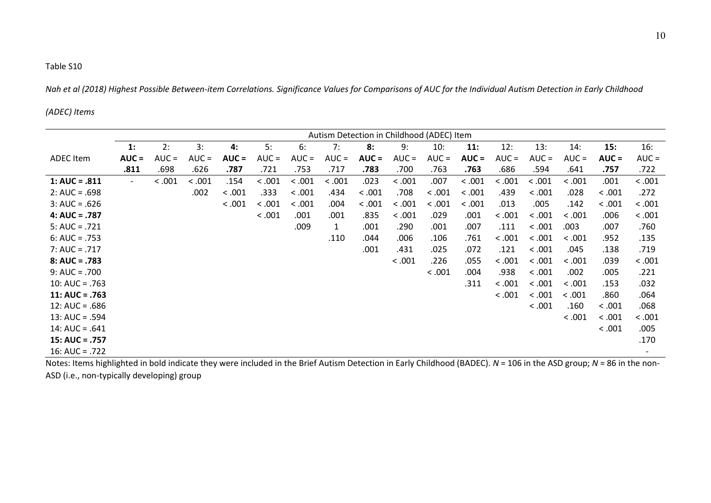*Nah et al (2018) Highest Possible Between-item Correlations. Significance Values for Comparisons of AUC for the Individual Autism Detection in Early Childhood* 

#### *(ADEC) Items*

|                  |         | Autism Detection in Childhood (ADEC) Item |         |         |         |         |         |         |         |         |         |         |               |         |                      |         |
|------------------|---------|-------------------------------------------|---------|---------|---------|---------|---------|---------|---------|---------|---------|---------|---------------|---------|----------------------|---------|
|                  | 1:      | 2:                                        | 3:      | 4:      | 5:      | 6:      | 7:      | 8:      | 9:      | 10:     | 11:     | 12:     | 13:           | 14:     | 15:                  | 16:     |
| <b>ADEC</b> Item | $AUC =$ | $AUC =$                                   | $AUC =$ | $AUC =$ | $AUC =$ | $AUC =$ | $AUC =$ | $AUC =$ | $AUC =$ | $AUC =$ | $AUC =$ | $AUC =$ | $AUC =$       | $AUC =$ | $AUC =$              | $AUC =$ |
|                  | .811    | .698                                      | .626    | .787    | .721    | .753    | .717    | .783    | .700    | .763    | .763    | .686    | .594          | .641    | .757                 | .722    |
| $1: AUC = .811$  | $\sim$  | < .001                                    | < .001  | .154    | < .001  | < .001  | < .001  | .023    | < .001  | .007    | < .001  | < .001  | < .001        | < .001  | .001                 | < .001  |
| $2: AUC = .698$  |         |                                           | .002    | 0.001   | .333    | < .001  | .434    | < .001  | .708    | < .001  | < .001  | .439    | < .001        | .028    | < 0.001              | .272    |
| $3: AUC = .626$  |         |                                           |         | < .001  | < .001  | < 0.001 | .004    | < .001  | < .001  | < .001  | < 0.001 | .013    | .005          | .142    | < 0.001              | < .001  |
| $4: AUC = .787$  |         |                                           |         |         | < .001  | .001    | .001    | .835    | < .001  | .029    | .001    | < .001  | < .001        | < .001  | .006                 | < .001  |
| $5: AUC = .721$  |         |                                           |         |         |         | .009    | 1       | .001    | .290    | .001    | .007    | .111    | < .001        | .003    | .007                 | .760    |
| $6: AUC = .753$  |         |                                           |         |         |         |         | .110    | .044    | .006    | .106    | .761    | < .001  | < .001        | < .001  | .952                 | .135    |
| $7: AUC = .717$  |         |                                           |         |         |         |         |         | .001    | .431    | .025    | .072    | .121    | < .001        | .045    | .138                 | .719    |
| $8: AUC = .783$  |         |                                           |         |         |         |         |         |         | < .001  | .226    | .055    | < .001  | < .001        | < .001  | .039                 | < .001  |
| $9: AUC = .700$  |         |                                           |         |         |         |         |         |         |         | < 0.001 | .004    | .938    | < .001        | .002    | .005                 | .221    |
| $10: AUC = .763$ |         |                                           |         |         |         |         |         |         |         |         | .311    | < .001  | < .001        | < .001  | .153                 | .032    |
| $11: AUC = .763$ |         |                                           |         |         |         |         |         |         |         |         |         | < .001  | < .001        | < .001  | .860                 | .064    |
| $12: AUC = .686$ |         |                                           |         |         |         |         |         |         |         |         |         |         | < .001        | .160    | < .001               | .068    |
| $13: AUC = .594$ |         |                                           |         |         |         |         |         |         |         |         |         |         |               | < .001  | < 0.001              | < .001  |
| 14: AUC = $.641$ |         |                                           |         |         |         |         |         |         |         |         |         |         |               |         | < .001               | .005    |
| 15: AUC = $.757$ |         |                                           |         |         |         |         |         |         |         |         |         |         |               |         |                      | .170    |
| $16: AUC = .722$ |         |                                           |         |         |         |         |         |         |         |         |         |         | $\frac{1}{2}$ |         | $\cdots$ as $\cdots$ |         |

Notes: Items highlighted in bold indicate they were included in the Brief Autism Detection in Early Childhood (BADEC). *N* = 106 in the ASD group; *N* = 86 in the non-ASD (i.e., non-typically developing) group